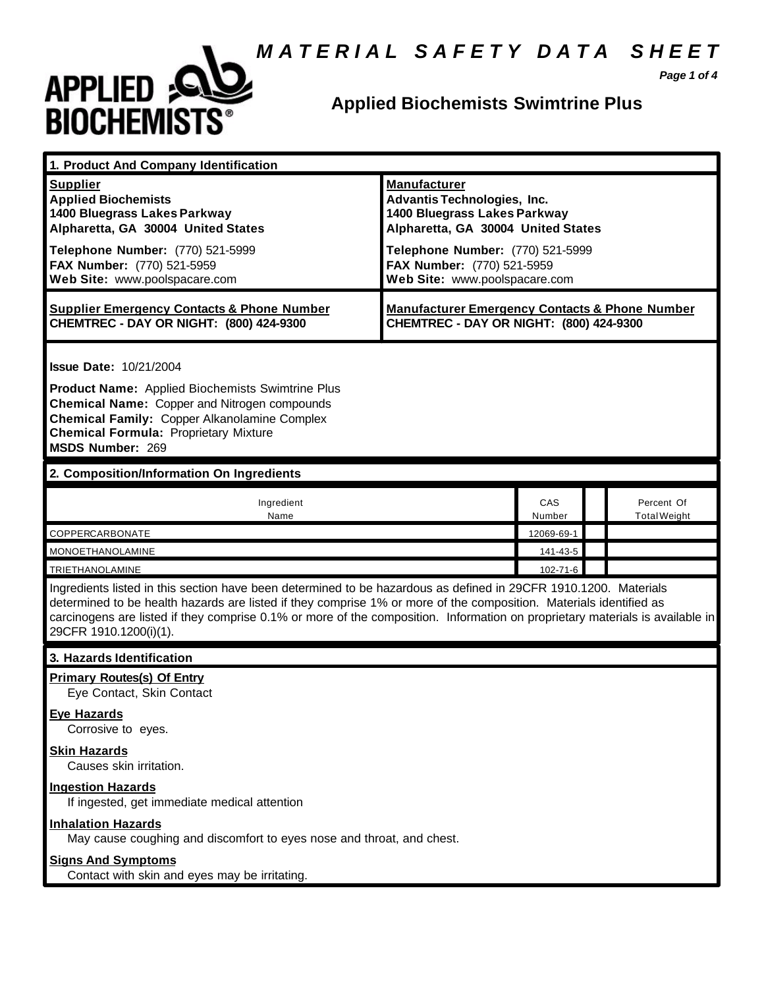#### *M A T E R I A L S A F E T Y D A T A S H E E T*



#### **Applied Biochemists Swimtrine Plus**

*Page 1 of 4*

| 1. Product And Company Identification                                                                                                                                                                                                                                                                                                                                                             |                                                                                                                                                                                                                                    |               |  |                                   |
|---------------------------------------------------------------------------------------------------------------------------------------------------------------------------------------------------------------------------------------------------------------------------------------------------------------------------------------------------------------------------------------------------|------------------------------------------------------------------------------------------------------------------------------------------------------------------------------------------------------------------------------------|---------------|--|-----------------------------------|
| <b>Supplier</b><br><b>Applied Biochemists</b><br>1400 Bluegrass Lakes Parkway<br>Alpharetta, GA 30004 United States<br>Telephone Number: (770) 521-5999<br>FAX Number: (770) 521-5959<br>Web Site: www.poolspacare.com                                                                                                                                                                            | <b>Manufacturer</b><br><b>Advantis Technologies, Inc.</b><br>1400 Bluegrass Lakes Parkway<br>Alpharetta, GA 30004 United States<br>Telephone Number: (770) 521-5999<br>FAX Number: (770) 521-5959<br>Web Site: www.poolspacare.com |               |  |                                   |
| <b>Supplier Emergency Contacts &amp; Phone Number</b><br>CHEMTREC - DAY OR NIGHT: (800) 424-9300                                                                                                                                                                                                                                                                                                  | <b>Manufacturer Emergency Contacts &amp; Phone Number</b><br>CHEMTREC - DAY OR NIGHT: (800) 424-9300                                                                                                                               |               |  |                                   |
| <b>Issue Date: 10/21/2004</b><br>Product Name: Applied Biochemists Swimtrine Plus<br>Chemical Name: Copper and Nitrogen compounds<br><b>Chemical Family: Copper Alkanolamine Complex</b><br><b>Chemical Formula: Proprietary Mixture</b><br><b>MSDS Number: 269</b>                                                                                                                               |                                                                                                                                                                                                                                    |               |  |                                   |
| 2. Composition/Information On Ingredients                                                                                                                                                                                                                                                                                                                                                         |                                                                                                                                                                                                                                    |               |  |                                   |
| Ingredient<br>Name                                                                                                                                                                                                                                                                                                                                                                                |                                                                                                                                                                                                                                    | CAS<br>Number |  | Percent Of<br><b>Total Weight</b> |
| COPPERCARBONATE                                                                                                                                                                                                                                                                                                                                                                                   |                                                                                                                                                                                                                                    | 12069-69-1    |  |                                   |
| <b>MONOETHANOLAMINE</b>                                                                                                                                                                                                                                                                                                                                                                           |                                                                                                                                                                                                                                    | 141-43-5      |  |                                   |
| <b>TRIETHANOLAMINE</b>                                                                                                                                                                                                                                                                                                                                                                            |                                                                                                                                                                                                                                    | 102-71-6      |  |                                   |
| Ingredients listed in this section have been determined to be hazardous as defined in 29CFR 1910.1200. Materials<br>determined to be health hazards are listed if they comprise 1% or more of the composition. Materials identified as<br>carcinogens are listed if they comprise 0.1% or more of the composition. Information on proprietary materials is available in<br>29CFR 1910.1200(i)(1). |                                                                                                                                                                                                                                    |               |  |                                   |
| 3. Hazards Identification                                                                                                                                                                                                                                                                                                                                                                         |                                                                                                                                                                                                                                    |               |  |                                   |
| <b>Primary Routes(s) Of Entry</b><br>Eye Contact, Skin Contact<br><b>Eye Hazards</b><br>Corrosive to eyes.                                                                                                                                                                                                                                                                                        |                                                                                                                                                                                                                                    |               |  |                                   |
| <b>Skin Hazards</b><br>Causes skin irritation.                                                                                                                                                                                                                                                                                                                                                    |                                                                                                                                                                                                                                    |               |  |                                   |
| <b>Ingestion Hazards</b><br>If ingested, get immediate medical attention                                                                                                                                                                                                                                                                                                                          |                                                                                                                                                                                                                                    |               |  |                                   |
| <b>Inhalation Hazards</b><br>May cause coughing and discomfort to eyes nose and throat, and chest.                                                                                                                                                                                                                                                                                                |                                                                                                                                                                                                                                    |               |  |                                   |
| <b>Signs And Symptoms</b><br>Contact with skin and eyes may be irritating.                                                                                                                                                                                                                                                                                                                        |                                                                                                                                                                                                                                    |               |  |                                   |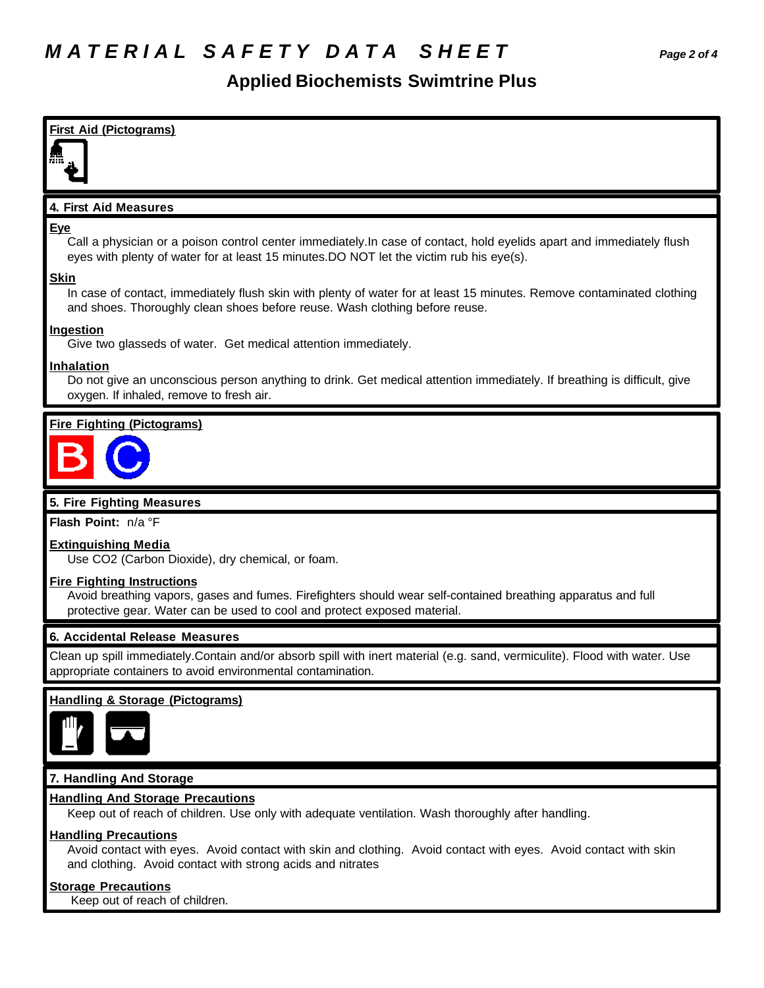#### **Applied Biochemists Swimtrine Plus**



Avoid contact with eyes. Avoid contact with skin and clothing. Avoid contact with eyes. Avoid contact with skin and clothing. Avoid contact with strong acids and nitrates

#### **Storage Precautions**

Keep out of reach of children.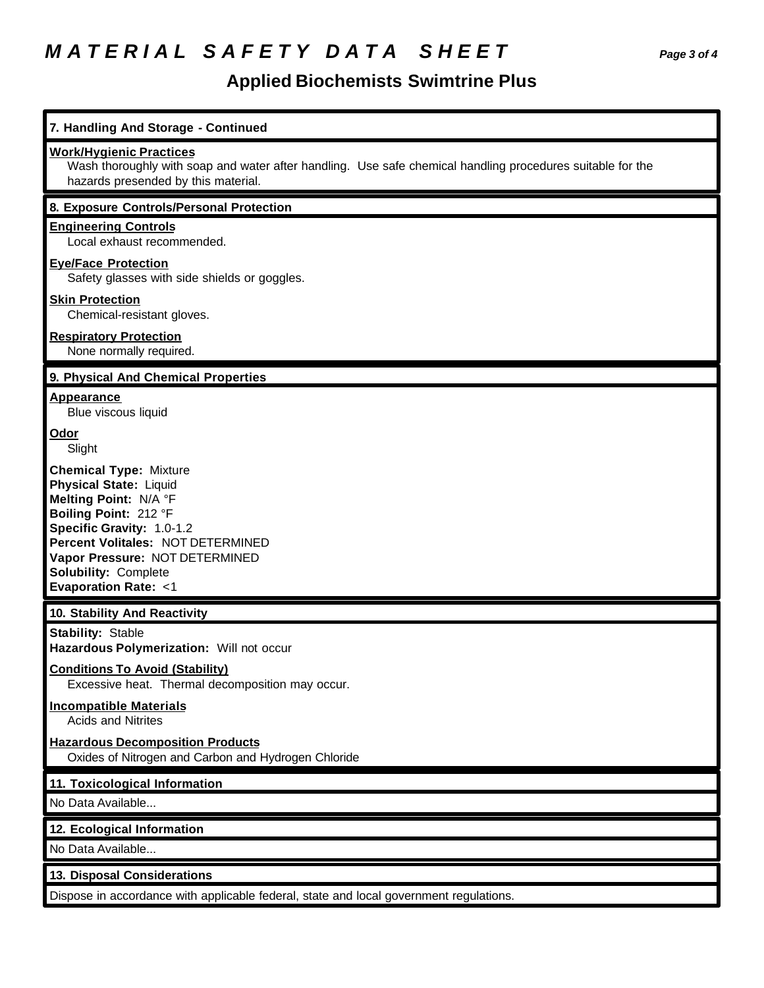# *M A T E R I A L S A F E T Y D A T A S H E E T Page 3 of 4*

## **Applied Biochemists Swimtrine Plus**

| 7. Handling And Storage - Continued                                                                                                                                                                                                                                                   |
|---------------------------------------------------------------------------------------------------------------------------------------------------------------------------------------------------------------------------------------------------------------------------------------|
| <b>Work/Hygienic Practices</b><br>Wash thoroughly with soap and water after handling. Use safe chemical handling procedures suitable for the<br>hazards presended by this material.                                                                                                   |
| 8. Exposure Controls/Personal Protection                                                                                                                                                                                                                                              |
| <b>Engineering Controls</b><br>Local exhaust recommended.                                                                                                                                                                                                                             |
| <b>Eye/Face Protection</b><br>Safety glasses with side shields or goggles.                                                                                                                                                                                                            |
| <b>Skin Protection</b><br>Chemical-resistant gloves.                                                                                                                                                                                                                                  |
| <b>Respiratory Protection</b><br>None normally required.                                                                                                                                                                                                                              |
| 9. Physical And Chemical Properties                                                                                                                                                                                                                                                   |
| Appearance<br>Blue viscous liquid                                                                                                                                                                                                                                                     |
| Odor<br>Slight                                                                                                                                                                                                                                                                        |
| <b>Chemical Type: Mixture</b><br><b>Physical State: Liquid</b><br>Melting Point: N/A °F<br>Boiling Point: 212 °F<br>Specific Gravity: 1.0-1.2<br>Percent Volitales: NOT DETERMINED<br>Vapor Pressure: NOT DETERMINED<br><b>Solubility: Complete</b><br><b>Evaporation Rate: &lt;1</b> |
| 10. Stability And Reactivity                                                                                                                                                                                                                                                          |
| <b>Stability: Stable</b><br>Hazardous Polymerization: Will not occur<br><b>Conditions To Avoid (Stability)</b>                                                                                                                                                                        |
| Excessive heat. Thermal decomposition may occur.<br><b>Incompatible Materials</b><br><b>Acids and Nitrites</b>                                                                                                                                                                        |
| <b>Hazardous Decomposition Products</b><br>Oxides of Nitrogen and Carbon and Hydrogen Chloride                                                                                                                                                                                        |
| 11. Toxicological Information                                                                                                                                                                                                                                                         |
| No Data Available                                                                                                                                                                                                                                                                     |
| 12. Ecological Information                                                                                                                                                                                                                                                            |
| No Data Available                                                                                                                                                                                                                                                                     |
| 13. Disposal Considerations                                                                                                                                                                                                                                                           |
| Dispose in accordance with applicable federal, state and local government regulations.                                                                                                                                                                                                |